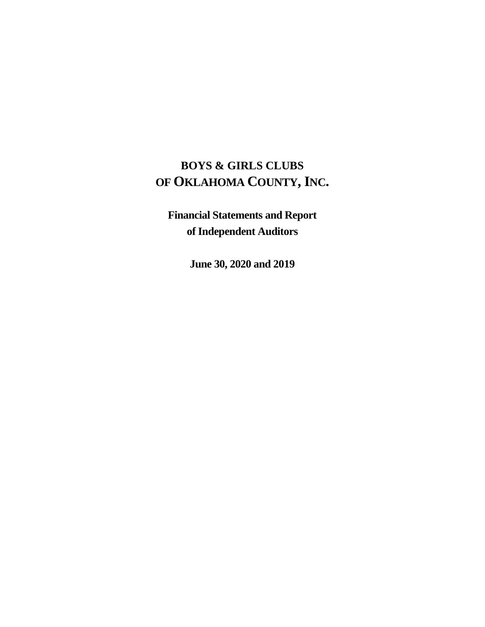# **BOYS & GIRLS CLUBS OF OKLAHOMA COUNTY, INC.**

**Financial Statements and Report of Independent Auditors** 

**June 30, 2020 and 2019**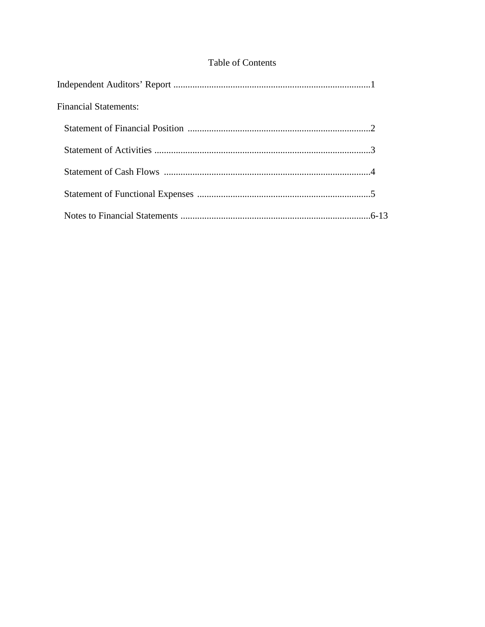# Table of Contents

| <b>Financial Statements:</b> |  |
|------------------------------|--|
|                              |  |
|                              |  |
|                              |  |
|                              |  |
|                              |  |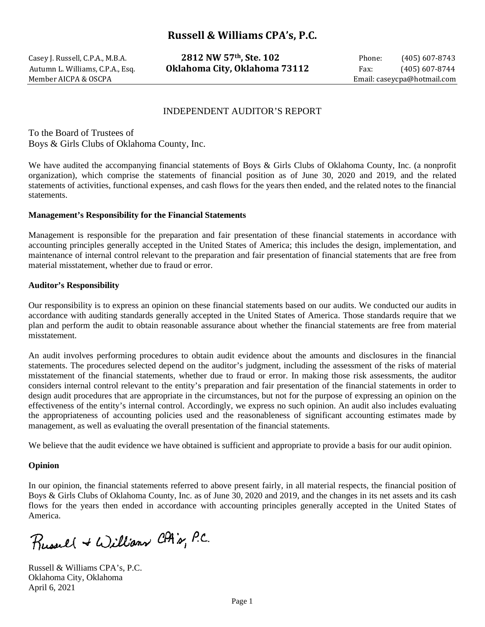Member AICPA & OSCPA **Email:** caseycpa@hotmail.com

Casey J. Russell, C.P.A., M.B.A. **2812 NW 57th, Ste. 102** Phone: (405) 607-8743 Autumn L. Williams, C.P.A., Esq. **Oklahoma City, Oklahoma 73112** Fax: (405) 607-8744

## INDEPENDENT AUDITOR'S REPORT

To the Board of Trustees of Boys & Girls Clubs of Oklahoma County, Inc.

We have audited the accompanying financial statements of Boys & Girls Clubs of Oklahoma County, Inc. (a nonprofit organization), which comprise the statements of financial position as of June 30, 2020 and 2019, and the related statements of activities, functional expenses, and cash flows for the years then ended, and the related notes to the financial statements.

#### **Management's Responsibility for the Financial Statements**

Management is responsible for the preparation and fair presentation of these financial statements in accordance with accounting principles generally accepted in the United States of America; this includes the design, implementation, and maintenance of internal control relevant to the preparation and fair presentation of financial statements that are free from material misstatement, whether due to fraud or error.

#### **Auditor's Responsibility**

Our responsibility is to express an opinion on these financial statements based on our audits. We conducted our audits in accordance with auditing standards generally accepted in the United States of America. Those standards require that we plan and perform the audit to obtain reasonable assurance about whether the financial statements are free from material misstatement.

An audit involves performing procedures to obtain audit evidence about the amounts and disclosures in the financial statements. The procedures selected depend on the auditor's judgment, including the assessment of the risks of material misstatement of the financial statements, whether due to fraud or error. In making those risk assessments, the auditor considers internal control relevant to the entity's preparation and fair presentation of the financial statements in order to design audit procedures that are appropriate in the circumstances, but not for the purpose of expressing an opinion on the effectiveness of the entity's internal control. Accordingly, we express no such opinion. An audit also includes evaluating the appropriateness of accounting policies used and the reasonableness of significant accounting estimates made by management, as well as evaluating the overall presentation of the financial statements.

We believe that the audit evidence we have obtained is sufficient and appropriate to provide a basis for our audit opinion.

#### **Opinion**

In our opinion, the financial statements referred to above present fairly, in all material respects, the financial position of Boys & Girls Clubs of Oklahoma County, Inc. as of June 30, 2020 and 2019, and the changes in its net assets and its cash flows for the years then ended in accordance with accounting principles generally accepted in the United States of America.

Russell + Williams CA or, P.C.

Russell & Williams CPA's, P.C. Oklahoma City, Oklahoma April 6, 2021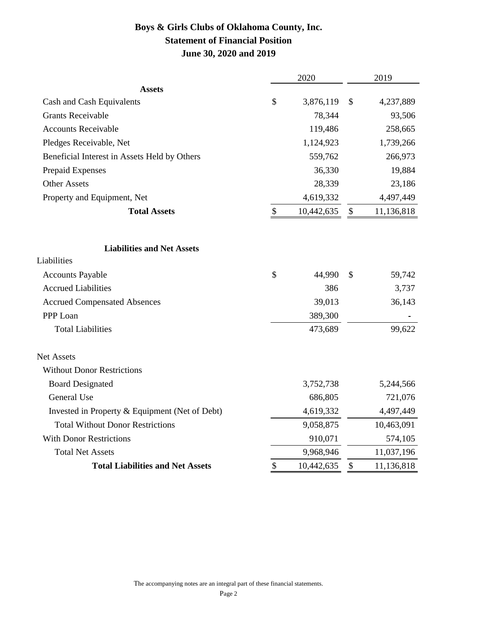## **Boys & Girls Clubs of Oklahoma County, Inc. Statement of Financial Position June 30, 2020 and 2019**

|                                                |                            | 2020       |                           | 2019       |
|------------------------------------------------|----------------------------|------------|---------------------------|------------|
| <b>Assets</b>                                  |                            |            |                           |            |
| Cash and Cash Equivalents                      | \$                         | 3,876,119  | \$                        | 4,237,889  |
| <b>Grants Receivable</b>                       |                            | 78,344     |                           | 93,506     |
| <b>Accounts Receivable</b>                     |                            | 119,486    |                           | 258,665    |
| Pledges Receivable, Net                        |                            | 1,124,923  |                           | 1,739,266  |
| Beneficial Interest in Assets Held by Others   |                            | 559,762    |                           | 266,973    |
| Prepaid Expenses                               |                            | 36,330     |                           | 19,884     |
| <b>Other Assets</b>                            |                            | 28,339     |                           | 23,186     |
| Property and Equipment, Net                    |                            | 4,619,332  |                           | 4,497,449  |
| <b>Total Assets</b>                            | $\boldsymbol{\mathsf{\$}}$ | 10,442,635 | $\boldsymbol{\mathsf{S}}$ | 11,136,818 |
| <b>Liabilities and Net Assets</b>              |                            |            |                           |            |
| Liabilities                                    |                            |            |                           |            |
| <b>Accounts Payable</b>                        | \$                         | 44,990     | \$                        | 59,742     |
| <b>Accrued Liabilities</b>                     |                            | 386        |                           | 3,737      |
| <b>Accrued Compensated Absences</b>            |                            | 39,013     |                           | 36,143     |
| PPP Loan                                       |                            | 389,300    |                           |            |
| <b>Total Liabilities</b>                       |                            | 473,689    |                           | 99,622     |
| <b>Net Assets</b>                              |                            |            |                           |            |
| <b>Without Donor Restrictions</b>              |                            |            |                           |            |
| <b>Board Designated</b>                        |                            | 3,752,738  |                           | 5,244,566  |
| General Use                                    |                            | 686,805    |                           | 721,076    |
| Invested in Property & Equipment (Net of Debt) |                            | 4,619,332  |                           | 4,497,449  |
| <b>Total Without Donor Restrictions</b>        |                            | 9,058,875  |                           | 10,463,091 |
| <b>With Donor Restrictions</b>                 |                            | 910,071    |                           | 574,105    |
| <b>Total Net Assets</b>                        |                            | 9,968,946  |                           | 11,037,196 |
| <b>Total Liabilities and Net Assets</b>        | \$                         | 10,442,635 | \$                        | 11,136,818 |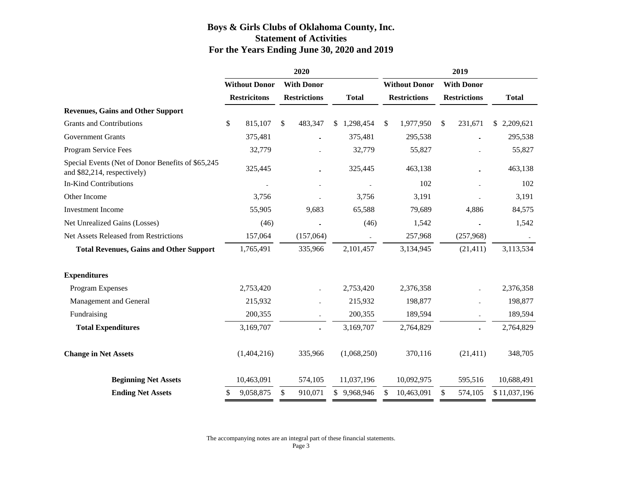## **Boys & Girls Clubs of Oklahoma County, Inc. Statement of Activities For the Years Ending June 30, 2020 and 2019**

|                                                                                  |                                             |             |                     | 2020              |              | 2019        |                      |                     |                     |                   |                 |
|----------------------------------------------------------------------------------|---------------------------------------------|-------------|---------------------|-------------------|--------------|-------------|----------------------|---------------------|---------------------|-------------------|-----------------|
|                                                                                  | <b>Without Donor</b><br><b>Restricitons</b> |             |                     | <b>With Donor</b> |              |             | <b>Without Donor</b> |                     |                     | <b>With Donor</b> |                 |
|                                                                                  |                                             |             | <b>Restrictions</b> |                   | <b>Total</b> |             |                      | <b>Restrictions</b> | <b>Restrictions</b> |                   | <b>Total</b>    |
| <b>Revenues, Gains and Other Support</b>                                         |                                             |             |                     |                   |              |             |                      |                     |                     |                   |                 |
| <b>Grants and Contributions</b>                                                  | \$                                          | 815,107     | \$                  | 483,347           | \$           | 1,298,454   | \$                   | 1,977,950           | \$                  | 231,671           | 2,209,621<br>\$ |
| <b>Government Grants</b>                                                         |                                             | 375,481     |                     |                   |              | 375,481     |                      | 295,538             |                     |                   | 295,538         |
| Program Service Fees                                                             | 32,779                                      |             |                     |                   |              | 32,779      |                      | 55,827              |                     |                   | 55,827          |
| Special Events (Net of Donor Benefits of \$65,245<br>and \$82,214, respectively) |                                             | 325,445     |                     |                   |              | 325,445     |                      | 463,138             |                     |                   | 463,138         |
| <b>In-Kind Contributions</b>                                                     |                                             |             |                     |                   |              |             |                      | 102                 |                     |                   | 102             |
| Other Income                                                                     |                                             | 3,756       |                     |                   |              | 3,756       |                      | 3,191               |                     |                   | 3,191           |
| <b>Investment Income</b>                                                         |                                             | 55,905      |                     | 9,683             |              | 65,588      |                      | 79,689              |                     | 4,886             | 84,575          |
| Net Unrealized Gains (Losses)                                                    |                                             | (46)        |                     |                   |              | (46)        |                      | 1,542               |                     |                   | 1,542           |
| Net Assets Released from Restrictions                                            |                                             | 157,064     |                     | (157,064)         |              |             |                      | 257,968             |                     | (257,968)         |                 |
| <b>Total Revenues, Gains and Other Support</b>                                   |                                             | 1,765,491   |                     | 335,966           |              | 2,101,457   |                      | 3,134,945           |                     | (21, 411)         | 3,113,534       |
| <b>Expenditures</b>                                                              |                                             |             |                     |                   |              |             |                      |                     |                     |                   |                 |
| Program Expenses                                                                 |                                             | 2,753,420   |                     |                   |              | 2,753,420   |                      | 2,376,358           |                     |                   | 2,376,358       |
| Management and General                                                           |                                             | 215,932     |                     |                   |              | 215,932     |                      | 198,877             |                     |                   | 198,877         |
| Fundraising                                                                      |                                             | 200,355     |                     |                   |              | 200,355     |                      | 189,594             |                     |                   | 189,594         |
| <b>Total Expenditures</b>                                                        |                                             | 3,169,707   |                     |                   |              | 3,169,707   |                      | 2,764,829           |                     |                   | 2,764,829       |
| <b>Change in Net Assets</b>                                                      |                                             | (1,404,216) |                     | 335,966           |              | (1,068,250) |                      | 370,116             |                     | (21, 411)         | 348,705         |
| <b>Beginning Net Assets</b>                                                      |                                             | 10,463,091  |                     | 574,105           |              | 11,037,196  |                      | 10,092,975          |                     | 595,516           | 10,688,491      |
| <b>Ending Net Assets</b>                                                         | \$                                          | 9,058,875   | \$                  | 910,071           |              | \$9,968,946 | \$                   | 10,463,091          | \$                  | 574,105           | \$11,037,196    |

The accompanying notes are an integral part of these financial statements.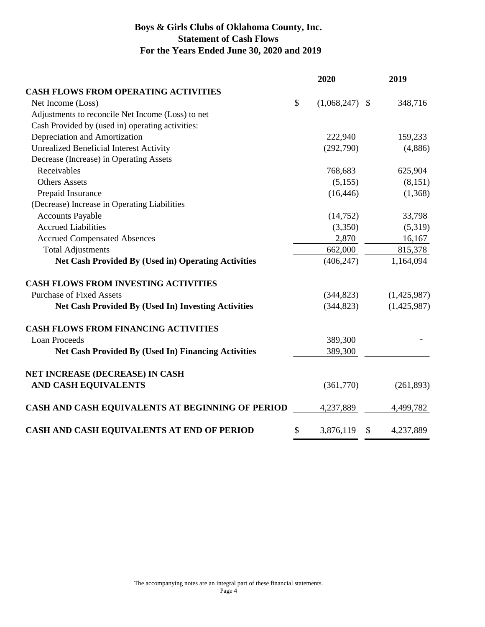## **Boys & Girls Clubs of Oklahoma County, Inc. Statement of Cash Flows For the Years Ended June 30, 2020 and 2019**

|                                                            | 2020                   |              | 2019        |
|------------------------------------------------------------|------------------------|--------------|-------------|
| <b>CASH FLOWS FROM OPERATING ACTIVITIES</b>                |                        |              |             |
| Net Income (Loss)                                          | \$<br>$(1,068,247)$ \$ |              | 348,716     |
| Adjustments to reconcile Net Income (Loss) to net          |                        |              |             |
| Cash Provided by (used in) operating activities:           |                        |              |             |
| Depreciation and Amortization                              | 222,940                |              | 159,233     |
| <b>Unrealized Beneficial Interest Activity</b>             | (292,790)              |              | (4,886)     |
| Decrease (Increase) in Operating Assets                    |                        |              |             |
| Receivables                                                | 768,683                |              | 625,904     |
| <b>Others Assets</b>                                       | (5,155)                |              | (8,151)     |
| Prepaid Insurance                                          | (16, 446)              |              | (1,368)     |
| (Decrease) Increase in Operating Liabilities               |                        |              |             |
| <b>Accounts Payable</b>                                    | (14,752)               |              | 33,798      |
| <b>Accrued Liabilities</b>                                 | (3,350)                |              | (5,319)     |
| <b>Accrued Compensated Absences</b>                        | 2,870                  |              | 16,167      |
| <b>Total Adjustments</b>                                   | 662,000                |              | 815,378     |
| <b>Net Cash Provided By (Used in) Operating Activities</b> | (406, 247)             |              | 1,164,094   |
| <b>CASH FLOWS FROM INVESTING ACTIVITIES</b>                |                        |              |             |
| <b>Purchase of Fixed Assets</b>                            | (344, 823)             |              | (1,425,987) |
| <b>Net Cash Provided By (Used In) Investing Activities</b> | (344, 823)             |              | (1,425,987) |
| <b>CASH FLOWS FROM FINANCING ACTIVITIES</b>                |                        |              |             |
| <b>Loan Proceeds</b>                                       | 389,300                |              |             |
| <b>Net Cash Provided By (Used In) Financing Activities</b> | 389,300                |              |             |
| NET INCREASE (DECREASE) IN CASH                            |                        |              |             |
| AND CASH EQUIVALENTS                                       | (361,770)              |              | (261, 893)  |
| CASH AND CASH EQUIVALENTS AT BEGINNING OF PERIOD           | 4,237,889              |              | 4,499,782   |
| CASH AND CASH EQUIVALENTS AT END OF PERIOD                 | \$<br>3,876,119        | $\mathbb{S}$ | 4,237,889   |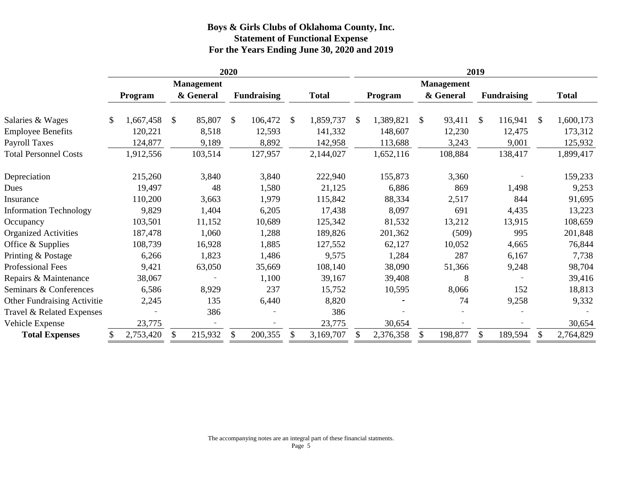## **Boys & Girls Clubs of Oklahoma County, Inc. Statement of Functional Expense For the Years Ending June 30, 2020 and 2019**

|                                    |              |                |                                | 2020         |                    |              |              | 2019         |           |              |                                |               |                    |               |              |
|------------------------------------|--------------|----------------|--------------------------------|--------------|--------------------|--------------|--------------|--------------|-----------|--------------|--------------------------------|---------------|--------------------|---------------|--------------|
|                                    |              | <b>Program</b> | <b>Management</b><br>& General |              | <b>Fundraising</b> |              | <b>Total</b> |              | Program   |              | <b>Management</b><br>& General |               | <b>Fundraising</b> |               | <b>Total</b> |
| Salaries & Wages                   | $\mathbb{S}$ | 1,667,458      | \$<br>85,807                   | $\mathbb{S}$ | 106,472            | $\mathbb{S}$ | 1,859,737    | $\mathbb{S}$ | 1,389,821 | $\mathbb{S}$ | 93,411                         | <sup>\$</sup> | 116,941            | $\mathcal{S}$ | 1,600,173    |
| <b>Employee Benefits</b>           |              | 120,221        | 8,518                          |              | 12,593             |              | 141,332      |              | 148,607   |              | 12,230                         |               | 12,475             |               | 173,312      |
| Payroll Taxes                      |              | 124,877        | 9,189                          |              | 8,892              |              | 142,958      |              | 113,688   |              | 3,243                          |               | 9,001              |               | 125,932      |
| <b>Total Personnel Costs</b>       |              | 1,912,556      | 103,514                        |              | 127,957            |              | 2,144,027    |              | 1,652,116 |              | 108,884                        |               | 138,417            |               | 1,899,417    |
| Depreciation                       |              | 215,260        | 3,840                          |              | 3,840              |              | 222,940      |              | 155,873   |              | 3,360                          |               |                    |               | 159,233      |
| Dues                               |              | 19,497         | 48                             |              | 1,580              |              | 21,125       |              | 6,886     |              | 869                            |               | 1,498              |               | 9,253        |
| Insurance                          |              | 110,200        | 3,663                          |              | 1,979              |              | 115,842      |              | 88,334    |              | 2,517                          |               | 844                |               | 91,695       |
| <b>Information Technology</b>      |              | 9,829          | 1,404                          |              | 6,205              |              | 17,438       |              | 8,097     |              | 691                            |               | 4,435              |               | 13,223       |
| Occupancy                          |              | 103,501        | 11,152                         |              | 10,689             |              | 125,342      |              | 81,532    |              | 13,212                         |               | 13,915             |               | 108,659      |
| <b>Organized Activities</b>        |              | 187,478        | 1,060                          |              | 1,288              |              | 189,826      |              | 201,362   |              | (509)                          |               | 995                |               | 201,848      |
| Office & Supplies                  |              | 108,739        | 16,928                         |              | 1,885              |              | 127,552      |              | 62,127    |              | 10,052                         |               | 4,665              |               | 76,844       |
| Printing & Postage                 |              | 6,266          | 1,823                          |              | 1,486              |              | 9,575        |              | 1,284     |              | 287                            |               | 6,167              |               | 7,738        |
| <b>Professional Fees</b>           |              | 9,421          | 63,050                         |              | 35,669             |              | 108,140      |              | 38,090    |              | 51,366                         |               | 9,248              |               | 98,704       |
| Repairs & Maintenance              |              | 38,067         |                                |              | 1,100              |              | 39,167       |              | 39,408    |              | 8                              |               |                    |               | 39,416       |
| Seminars & Conferences             |              | 6,586          | 8,929                          |              | 237                |              | 15,752       |              | 10,595    |              | 8,066                          |               | 152                |               | 18,813       |
| <b>Other Fundraising Activitie</b> |              | 2,245          | 135                            |              | 6,440              |              | 8,820        |              |           |              | 74                             |               | 9,258              |               | 9,332        |
| Travel & Related Expenses          |              |                | 386                            |              |                    |              | 386          |              |           |              |                                |               |                    |               |              |
| Vehicle Expense                    |              | 23,775         |                                |              |                    |              | 23,775       |              | 30,654    |              |                                |               |                    |               | 30,654       |
| <b>Total Expenses</b>              | S            | 2,753,420      | \$<br>215,932                  | \$           | 200,355            | \$           | 3,169,707    |              | 2,376,358 | \$           | 198,877                        |               | 189,594            | \$            | 2,764,829    |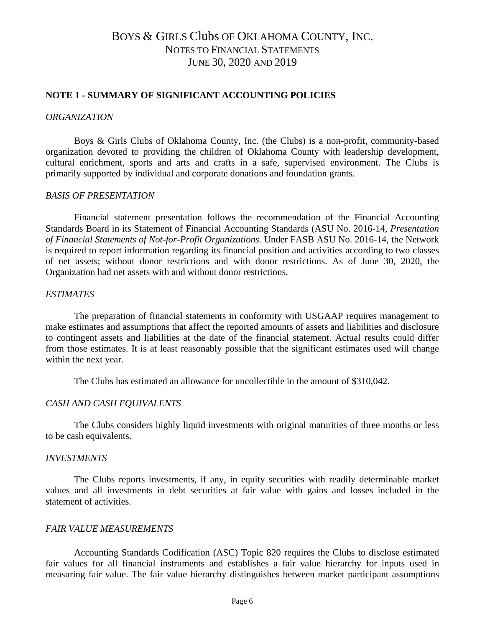### **NOTE 1 - SUMMARY OF SIGNIFICANT ACCOUNTING POLICIES**

#### *ORGANIZATION*

Boys & Girls Clubs of Oklahoma County, Inc. (the Clubs) is a non-profit, community-based organization devoted to providing the children of Oklahoma County with leadership development, cultural enrichment, sports and arts and crafts in a safe, supervised environment. The Clubs is primarily supported by individual and corporate donations and foundation grants.

#### *BASIS OF PRESENTATION*

Financial statement presentation follows the recommendation of the Financial Accounting Standards Board in its Statement of Financial Accounting Standards (ASU No. 2016-14, *Presentation of Financial Statements of Not-for-Profit Organizations.* Under FASB ASU No. 2016-14, the Network is required to report information regarding its financial position and activities according to two classes of net assets; without donor restrictions and with donor restrictions. As of June 30, 2020, the Organization had net assets with and without donor restrictions.

#### *ESTIMATES*

The preparation of financial statements in conformity with USGAAP requires management to make estimates and assumptions that affect the reported amounts of assets and liabilities and disclosure to contingent assets and liabilities at the date of the financial statement. Actual results could differ from those estimates. It is at least reasonably possible that the significant estimates used will change within the next year.

The Clubs has estimated an allowance for uncollectible in the amount of \$310,042.

#### *CASH AND CASH EQUIVALENTS*

The Clubs considers highly liquid investments with original maturities of three months or less to be cash equivalents.

#### *INVESTMENTS*

The Clubs reports investments, if any, in equity securities with readily determinable market values and all investments in debt securities at fair value with gains and losses included in the statement of activities.

#### *FAIR VALUE MEASUREMENTS*

Accounting Standards Codification (ASC) Topic 820 requires the Clubs to disclose estimated fair values for all financial instruments and establishes a fair value hierarchy for inputs used in measuring fair value. The fair value hierarchy distinguishes between market participant assumptions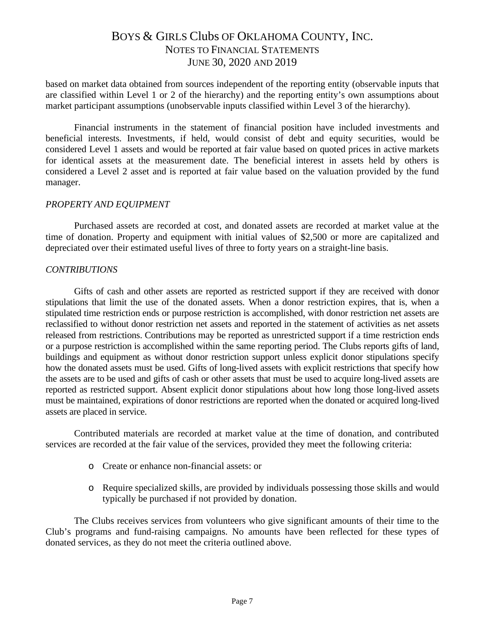based on market data obtained from sources independent of the reporting entity (observable inputs that are classified within Level 1 or 2 of the hierarchy) and the reporting entity's own assumptions about market participant assumptions (unobservable inputs classified within Level 3 of the hierarchy).

Financial instruments in the statement of financial position have included investments and beneficial interests. Investments, if held, would consist of debt and equity securities, would be considered Level 1 assets and would be reported at fair value based on quoted prices in active markets for identical assets at the measurement date. The beneficial interest in assets held by others is considered a Level 2 asset and is reported at fair value based on the valuation provided by the fund manager.

## *PROPERTY AND EQUIPMENT*

Purchased assets are recorded at cost, and donated assets are recorded at market value at the time of donation. Property and equipment with initial values of \$2,500 or more are capitalized and depreciated over their estimated useful lives of three to forty years on a straight-line basis.

## *CONTRIBUTIONS*

Gifts of cash and other assets are reported as restricted support if they are received with donor stipulations that limit the use of the donated assets. When a donor restriction expires, that is, when a stipulated time restriction ends or purpose restriction is accomplished, with donor restriction net assets are reclassified to without donor restriction net assets and reported in the statement of activities as net assets released from restrictions. Contributions may be reported as unrestricted support if a time restriction ends or a purpose restriction is accomplished within the same reporting period. The Clubs reports gifts of land, buildings and equipment as without donor restriction support unless explicit donor stipulations specify how the donated assets must be used. Gifts of long-lived assets with explicit restrictions that specify how the assets are to be used and gifts of cash or other assets that must be used to acquire long-lived assets are reported as restricted support. Absent explicit donor stipulations about how long those long-lived assets must be maintained, expirations of donor restrictions are reported when the donated or acquired long-lived assets are placed in service.

Contributed materials are recorded at market value at the time of donation, and contributed services are recorded at the fair value of the services, provided they meet the following criteria:

- o Create or enhance non-financial assets: or
- o Require specialized skills, are provided by individuals possessing those skills and would typically be purchased if not provided by donation.

The Clubs receives services from volunteers who give significant amounts of their time to the Club's programs and fund-raising campaigns. No amounts have been reflected for these types of donated services, as they do not meet the criteria outlined above.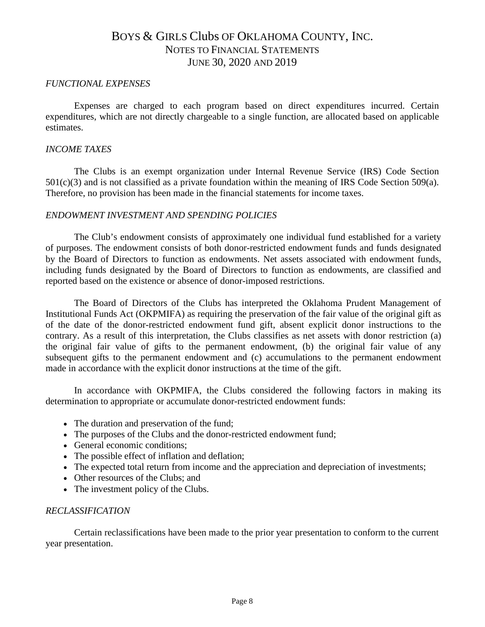## *FUNCTIONAL EXPENSES*

Expenses are charged to each program based on direct expenditures incurred. Certain expenditures, which are not directly chargeable to a single function, are allocated based on applicable estimates.

#### *INCOME TAXES*

The Clubs is an exempt organization under Internal Revenue Service (IRS) Code Section 501(c)(3) and is not classified as a private foundation within the meaning of IRS Code Section 509(a). Therefore, no provision has been made in the financial statements for income taxes.

#### *ENDOWMENT INVESTMENT AND SPENDING POLICIES*

The Club's endowment consists of approximately one individual fund established for a variety of purposes. The endowment consists of both donor-restricted endowment funds and funds designated by the Board of Directors to function as endowments. Net assets associated with endowment funds, including funds designated by the Board of Directors to function as endowments, are classified and reported based on the existence or absence of donor-imposed restrictions.

The Board of Directors of the Clubs has interpreted the Oklahoma Prudent Management of Institutional Funds Act (OKPMIFA) as requiring the preservation of the fair value of the original gift as of the date of the donor-restricted endowment fund gift, absent explicit donor instructions to the contrary. As a result of this interpretation, the Clubs classifies as net assets with donor restriction (a) the original fair value of gifts to the permanent endowment, (b) the original fair value of any subsequent gifts to the permanent endowment and (c) accumulations to the permanent endowment made in accordance with the explicit donor instructions at the time of the gift.

In accordance with OKPMIFA, the Clubs considered the following factors in making its determination to appropriate or accumulate donor-restricted endowment funds:

- The duration and preservation of the fund;
- The purposes of the Clubs and the donor-restricted endowment fund;
- General economic conditions:
- The possible effect of inflation and deflation;
- The expected total return from income and the appreciation and depreciation of investments;
- Other resources of the Clubs; and
- The investment policy of the Clubs.

#### *RECLASSIFICATION*

Certain reclassifications have been made to the prior year presentation to conform to the current year presentation.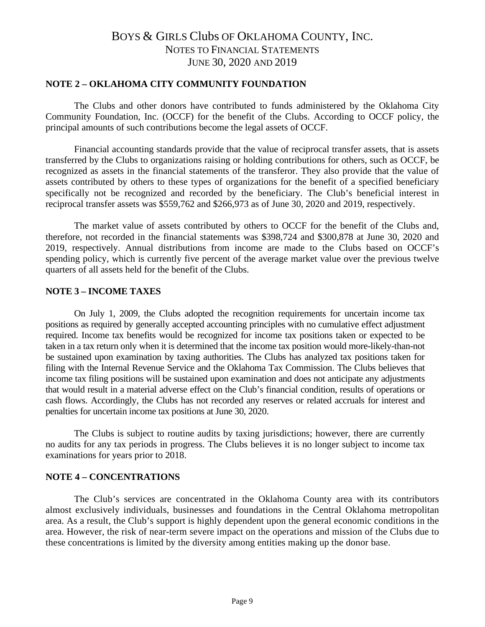## **NOTE 2 – OKLAHOMA CITY COMMUNITY FOUNDATION**

The Clubs and other donors have contributed to funds administered by the Oklahoma City Community Foundation, Inc. (OCCF) for the benefit of the Clubs. According to OCCF policy, the principal amounts of such contributions become the legal assets of OCCF.

Financial accounting standards provide that the value of reciprocal transfer assets, that is assets transferred by the Clubs to organizations raising or holding contributions for others, such as OCCF, be recognized as assets in the financial statements of the transferor. They also provide that the value of assets contributed by others to these types of organizations for the benefit of a specified beneficiary specifically not be recognized and recorded by the beneficiary. The Club's beneficial interest in reciprocal transfer assets was \$559,762 and \$266,973 as of June 30, 2020 and 2019, respectively.

The market value of assets contributed by others to OCCF for the benefit of the Clubs and, therefore, not recorded in the financial statements was \$398,724 and \$300,878 at June 30, 2020 and 2019, respectively. Annual distributions from income are made to the Clubs based on OCCF's spending policy, which is currently five percent of the average market value over the previous twelve quarters of all assets held for the benefit of the Clubs.

#### **NOTE 3 – INCOME TAXES**

On July 1, 2009, the Clubs adopted the recognition requirements for uncertain income tax positions as required by generally accepted accounting principles with no cumulative effect adjustment required. Income tax benefits would be recognized for income tax positions taken or expected to be taken in a tax return only when it is determined that the income tax position would more-likely-than-not be sustained upon examination by taxing authorities. The Clubs has analyzed tax positions taken for filing with the Internal Revenue Service and the Oklahoma Tax Commission. The Clubs believes that income tax filing positions will be sustained upon examination and does not anticipate any adjustments that would result in a material adverse effect on the Club's financial condition, results of operations or cash flows. Accordingly, the Clubs has not recorded any reserves or related accruals for interest and penalties for uncertain income tax positions at June 30, 2020.

The Clubs is subject to routine audits by taxing jurisdictions; however, there are currently no audits for any tax periods in progress. The Clubs believes it is no longer subject to income tax examinations for years prior to 2018.

## **NOTE 4 – CONCENTRATIONS**

The Club's services are concentrated in the Oklahoma County area with its contributors almost exclusively individuals, businesses and foundations in the Central Oklahoma metropolitan area. As a result, the Club's support is highly dependent upon the general economic conditions in the area. However, the risk of near-term severe impact on the operations and mission of the Clubs due to these concentrations is limited by the diversity among entities making up the donor base.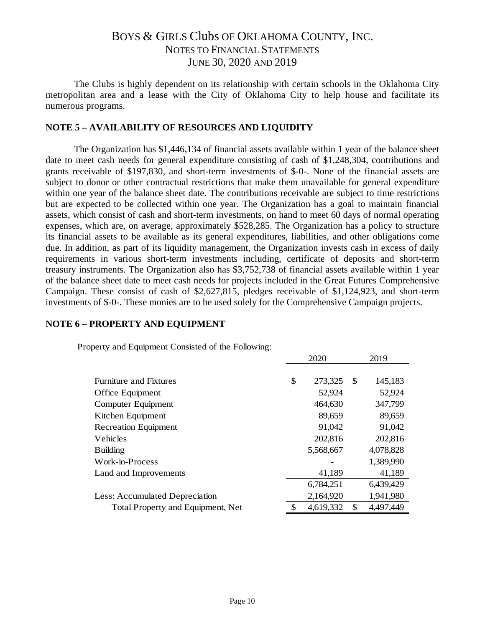The Clubs is highly dependent on its relationship with certain schools in the Oklahoma City metropolitan area and a lease with the City of Oklahoma City to help house and facilitate its numerous programs.

## **NOTE 5 – AVAILABILITY OF RESOURCES AND LIQUIDITY**

The Organization has \$1,446,134 of financial assets available within 1 year of the balance sheet date to meet cash needs for general expenditure consisting of cash of \$1,248,304, contributions and grants receivable of \$197,830, and short-term investments of \$-0-. None of the financial assets are subject to donor or other contractual restrictions that make them unavailable for general expenditure within one year of the balance sheet date. The contributions receivable are subject to time restrictions but are expected to be collected within one year. The Organization has a goal to maintain financial assets, which consist of cash and short-term investments, on hand to meet 60 days of normal operating expenses, which are, on average, approximately \$528,285. The Organization has a policy to structure its financial assets to be available as its general expenditures, liabilities, and other obligations come due. In addition, as part of its liquidity management, the Organization invests cash in excess of daily requirements in various short-term investments including, certificate of deposits and short-term treasury instruments. The Organization also has \$3,752,738 of financial assets available within 1 year of the balance sheet date to meet cash needs for projects included in the Great Futures Comprehensive Campaign. These consist of cash of \$2,627,815, pledges receivable of \$1,124,923, and short-term investments of \$-0-. These monies are to be used solely for the Comprehensive Campaign projects.

## **NOTE 6 – PROPERTY AND EQUIPMENT**

Property and Equipment Consisted of the Following:

|                                   | 2020          |     | 2019      |
|-----------------------------------|---------------|-----|-----------|
|                                   |               |     |           |
| <b>Furniture and Fixtures</b>     | \$<br>273,325 | \$. | 145,183   |
| Office Equipment                  | 52,924        |     | 52,924    |
| Computer Equipment                | 464,630       |     | 347,799   |
| Kitchen Equipment                 | 89,659        |     | 89,659    |
| <b>Recreation Equipment</b>       | 91,042        |     | 91,042    |
| Vehicles                          | 202,816       |     | 202,816   |
| <b>Building</b>                   | 5,568,667     |     | 4,078,828 |
| Work-in-Process                   |               |     | 1,389,990 |
| Land and Improvements             | 41,189        |     | 41,189    |
|                                   | 6,784,251     |     | 6,439,429 |
| Less: Accumulated Depreciation    | 2,164,920     |     | 1,941,980 |
| Total Property and Equipment, Net | 4,619,332     | S   | 4,497,449 |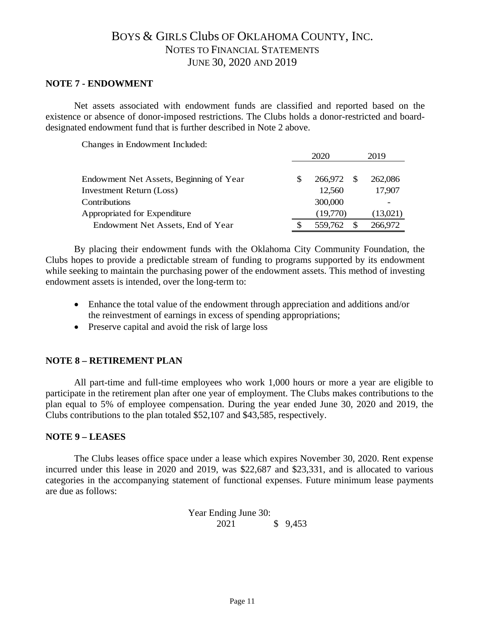### **NOTE 7 - ENDOWMENT**

Net assets associated with endowment funds are classified and reported based on the existence or absence of donor-imposed restrictions. The Clubs holds a donor-restricted and boarddesignated endowment fund that is further described in Note 2 above.

Changes in Endowment Included:

|                                         |   | 2020     | 2019     |  |  |  |
|-----------------------------------------|---|----------|----------|--|--|--|
|                                         |   |          |          |  |  |  |
| Endowment Net Assets, Beginning of Year | S | 266.972  | 262,086  |  |  |  |
| Investment Return (Loss)                |   | 12.560   | 17,907   |  |  |  |
| Contributions                           |   | 300,000  |          |  |  |  |
| Appropriated for Expenditure            |   | (19,770) | (13,021) |  |  |  |
| Endowment Net Assets, End of Year       |   | 559.762  | 266,972  |  |  |  |

By placing their endowment funds with the Oklahoma City Community Foundation, the Clubs hopes to provide a predictable stream of funding to programs supported by its endowment while seeking to maintain the purchasing power of the endowment assets. This method of investing endowment assets is intended, over the long-term to:

- Enhance the total value of the endowment through appreciation and additions and/or the reinvestment of earnings in excess of spending appropriations;
- Preserve capital and avoid the risk of large loss

## **NOTE 8 – RETIREMENT PLAN**

All part-time and full-time employees who work 1,000 hours or more a year are eligible to participate in the retirement plan after one year of employment. The Clubs makes contributions to the plan equal to 5% of employee compensation. During the year ended June 30, 2020 and 2019, the Clubs contributions to the plan totaled \$52,107 and \$43,585, respectively.

## **NOTE 9 – LEASES**

The Clubs leases office space under a lease which expires November 30, 2020. Rent expense incurred under this lease in 2020 and 2019, was \$22,687 and \$23,331, and is allocated to various categories in the accompanying statement of functional expenses. Future minimum lease payments are due as follows:

> Year Ending June 30: 2021 \$ 9,453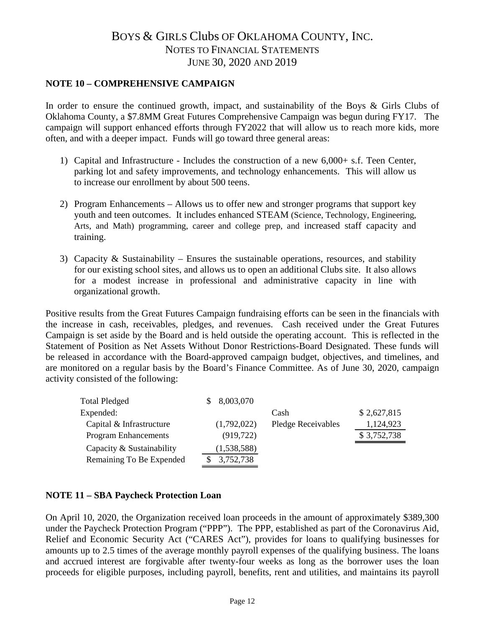## **NOTE 10 – COMPREHENSIVE CAMPAIGN**

In order to ensure the continued growth, impact, and sustainability of the Boys & Girls Clubs of Oklahoma County, a \$7.8MM Great Futures Comprehensive Campaign was begun during FY17. The campaign will support enhanced efforts through FY2022 that will allow us to reach more kids, more often, and with a deeper impact. Funds will go toward three general areas:

- 1) Capital and Infrastructure Includes the construction of a new 6,000+ s.f. Teen Center, parking lot and safety improvements, and technology enhancements. This will allow us to increase our enrollment by about 500 teens.
- 2) Program Enhancements Allows us to offer new and stronger programs that support key youth and teen outcomes. It includes enhanced STEAM (Science, Technology, Engineering, Arts, and Math) programming, career and college prep, and increased staff capacity and training.
- 3) Capacity & Sustainability Ensures the sustainable operations, resources, and stability for our existing school sites, and allows us to open an additional Clubs site. It also allows for a modest increase in professional and administrative capacity in line with organizational growth.

Positive results from the Great Futures Campaign fundraising efforts can be seen in the financials with the increase in cash, receivables, pledges, and revenues. Cash received under the Great Futures Campaign is set aside by the Board and is held outside the operating account. This is reflected in the Statement of Position as Net Assets Without Donor Restrictions-Board Designated. These funds will be released in accordance with the Board-approved campaign budget, objectives, and timelines, and are monitored on a regular basis by the Board's Finance Committee. As of June 30, 2020, campaign activity consisted of the following:

| <b>Total Pledged</b>        | 8,003,070   |                           |             |
|-----------------------------|-------------|---------------------------|-------------|
| Expended:                   |             | Cash                      | \$2,627,815 |
| Capital & Infrastructure    | (1,792,022) | <b>Pledge Receivables</b> | 1,124,923   |
| <b>Program Enhancements</b> | (919, 722)  |                           | \$3,752,738 |
| Capacity & Sustainability   | (1,538,588) |                           |             |
| Remaining To Be Expended    | 3,752,738   |                           |             |

## **NOTE 11 – SBA Paycheck Protection Loan**

On April 10, 2020, the Organization received loan proceeds in the amount of approximately \$389,300 under the Paycheck Protection Program ("PPP"). The PPP, established as part of the Coronavirus Aid, Relief and Economic Security Act ("CARES Act"), provides for loans to qualifying businesses for amounts up to 2.5 times of the average monthly payroll expenses of the qualifying business. The loans and accrued interest are forgivable after twenty-four weeks as long as the borrower uses the loan proceeds for eligible purposes, including payroll, benefits, rent and utilities, and maintains its payroll